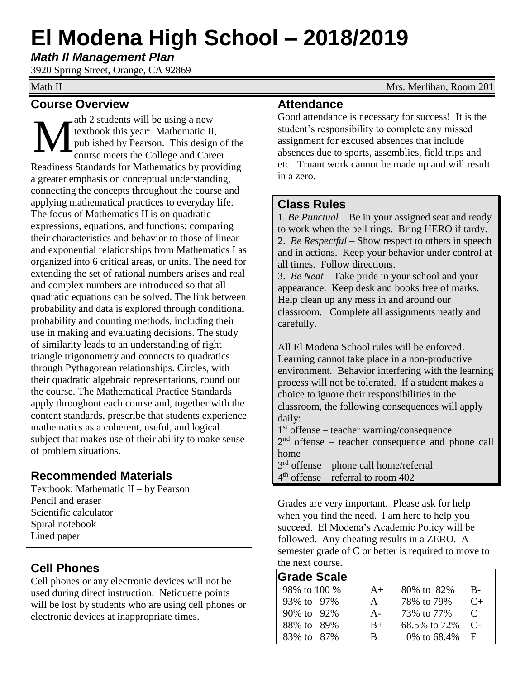# **El Modena High School – 2018/2019**

*Math II Management Plan*

3920 Spring Street, Orange, CA 92869

## **Course Overview**

ath 2 students will be using a new textbook this year: Mathematic II, published by Pearson. This design of the course meets the College and Career Readiness Standards for Mathematics by providing a greater emphasis on conceptual understanding, connecting the concepts throughout the course and applying mathematical practices to everyday life. The focus of Mathematics II is on quadratic expressions, equations, and functions; comparing their characteristics and behavior to those of linear and exponential relationships from Mathematics I as organized into 6 critical areas, or units. The need for extending the set of rational numbers arises and real and complex numbers are introduced so that all quadratic equations can be solved. The link between probability and data is explored through conditional probability and counting methods, including their use in making and evaluating decisions. The study of similarity leads to an understanding of right triangle trigonometry and connects to quadratics through Pythagorean relationships. Circles, with their quadratic algebraic representations, round out the course. The Mathematical Practice Standards apply throughout each course and, together with the content standards, prescribe that students experience mathematics as a coherent, useful, and logical subject that makes use of their ability to make sense of problem situations. M

#### **Recommended Materials**

Textbook: Mathematic II – by Pearson Pencil and eraser Scientific calculator Spiral notebook Lined paper

# **Cell Phones**

Cell phones or any electronic devices will not be used during direct instruction. Netiquette points will be lost by students who are using cell phones or electronic devices at inappropriate times.

Math II Mrs. Merlihan, Room 201

#### **Attendance**

Good attendance is necessary for success! It is the student's responsibility to complete any missed assignment for excused absences that include absences due to sports, assemblies, field trips and etc. Truant work cannot be made up and will result in a zero.

## **Class Rules**

1*. Be Punctual* – Be in your assigned seat and ready to work when the bell rings. Bring HERO if tardy. 2. *Be Respectful* – Show respect to others in speech and in actions. Keep your behavior under control at all times. Follow directions.

3. *Be Neat* – Take pride in your school and your appearance. Keep desk and books free of marks. Help clean up any mess in and around our classroom. Complete all assignments neatly and carefully.

All El Modena School rules will be enforced. Learning cannot take place in a non-productive environment. Behavior interfering with the learning process will not be tolerated. If a student makes a choice to ignore their responsibilities in the classroom, the following consequences will apply daily:

1 st offense – teacher warning/consequence 2<sup>nd</sup> offense – teacher consequence and phone call home

3<sup>rd</sup> offense – phone call home/referral 4 th offense – referral to room 402

Grades are very important. Please ask for help when you find the need. I am here to help you succeed. El Modena's Academic Policy will be followed. Any cheating results in a ZERO. A semester grade of C or better is required to move to the next course.

| <b>SGrade Scale</b> |              |                   |                             |
|---------------------|--------------|-------------------|-----------------------------|
| 98% to 100 %        | $A+$         | 80\% to 82\%      | В-                          |
| 93% to 97%          | $\mathsf{A}$ | 78% to 79%        | $C_{+}$                     |
| $90\%$ to $92\%$    | $A -$        | 73% to 77%        | $\mathcal{C}_{\mathcal{C}}$ |
| 88% to 89%          | $B+$         | 68.5% to 72%      | $C_{\Xi}$                   |
| 83% to 87%          | R.           | 0\% to $68.4\%$ F |                             |